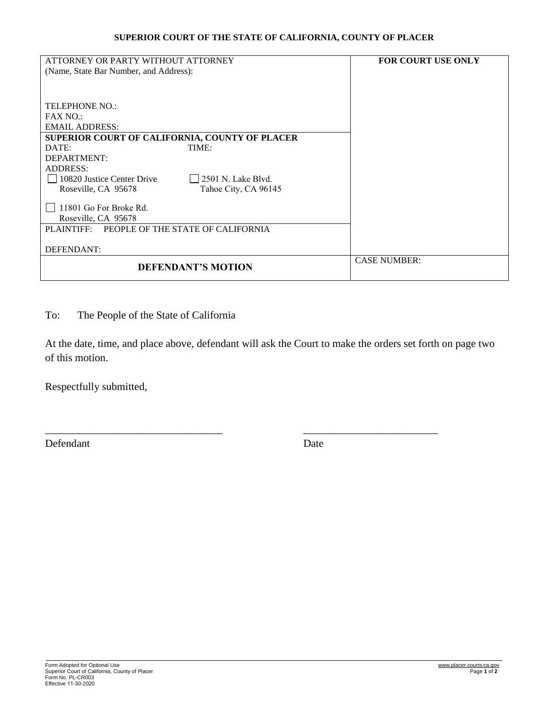## **SUPERIOR COURT OF THE STATE OF CALIFORNIA, COUNTY OF PLACER**

| ATTORNEY OR PARTY WITHOUT ATTORNEY                | <b>FOR COURT USE ONLY</b> |
|---------------------------------------------------|---------------------------|
| (Name, State Bar Number, and Address):            |                           |
|                                                   |                           |
|                                                   |                           |
| TELEPHONE NO.:                                    |                           |
| <b>FAX NO.:</b>                                   |                           |
| <b>EMAIL ADDRESS:</b>                             |                           |
| SUPERIOR COURT OF CALIFORNIA, COUNTY OF PLACER    |                           |
| DATE:<br>TIME:                                    |                           |
| DEPARTMENT:                                       |                           |
| <b>ADDRESS:</b>                                   |                           |
| 12501 N. Lake Blvd.<br>10820 Justice Center Drive |                           |
| Roseville, CA 95678<br>Tahoe City, CA 96145       |                           |
| 11801 Go For Broke Rd.                            |                           |
| Roseville, CA 95678                               |                           |
| PEOPLE OF THE STATE OF CALIFORNIA<br>PLAINTIFF:   |                           |
|                                                   |                           |
| DEFENDANT:                                        |                           |
| <b>DEFENDANT'S MOTION</b>                         | <b>CASE NUMBER:</b>       |

To: The People of the State of California

At the date, time, and place above, defendant will ask the Court to make the orders set forth on page two of this motion.

\_\_\_\_\_\_\_\_\_\_\_\_\_\_\_\_\_\_\_\_\_\_\_\_\_\_\_\_\_\_\_\_\_ \_\_\_\_\_\_\_\_\_\_\_\_\_\_\_\_\_\_\_\_\_\_\_\_\_

Respectfully submitted,

Defendant Date